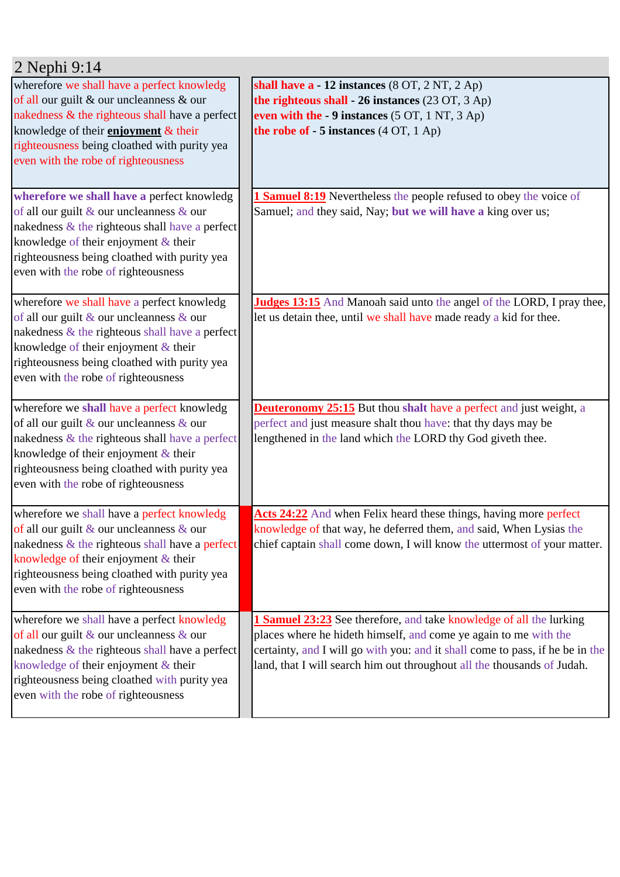| 2 Nephi 9:14                                                                                                                                                                                                                                                                      |                                                                                                                                                                                                                                                                                                     |
|-----------------------------------------------------------------------------------------------------------------------------------------------------------------------------------------------------------------------------------------------------------------------------------|-----------------------------------------------------------------------------------------------------------------------------------------------------------------------------------------------------------------------------------------------------------------------------------------------------|
| wherefore we shall have a perfect knowledg<br>of all our guilt & our uncleanness & our<br>nakedness & the righteous shall have a perfect<br>knowledge of their <b>enjoyment</b> & their<br>righteousness being cloathed with purity yea<br>even with the robe of righteousness    | shall have $a - 12$ instances $(8 OT, 2 NT, 2 Ap)$<br>the righteous shall $-26$ instances (23 OT, 3 Ap)<br>even with the $-9$ instances (5 OT, 1 NT, 3 Ap)<br>the robe of $-5$ instances $(4 OT, 1 Ap)$                                                                                             |
| wherefore we shall have a perfect knowledg<br>of all our guilt & our uncleanness & our<br>nakedness $\&$ the righteous shall have a perfect<br>knowledge of their enjoyment $&$ their<br>righteousness being cloathed with purity yea<br>even with the robe of righteousness      | <b>Samuel 8:19</b> Nevertheless the people refused to obey the voice of<br>Samuel; and they said, Nay; but we will have a king over us;                                                                                                                                                             |
| wherefore we shall have a perfect knowledg<br>of all our guilt $\&$ our uncleanness $\&$ our<br>nakedness & the righteous shall have a perfect<br>knowledge of their enjoyment $&$ their<br>righteousness being cloathed with purity yea<br>even with the robe of righteousness   | <b>Judges 13:15</b> And Manoah said unto the angel of the LORD, I pray thee,<br>let us detain thee, until we shall have made ready a kid for thee.                                                                                                                                                  |
| wherefore we shall have a perfect knowledg<br>of all our guilt & our uncleanness & our<br>nakedness $&$ the righteous shall have a perfect<br>knowledge of their enjoyment $&$ their<br>righteousness being cloathed with purity yea<br>even with the robe of righteousness       | <b>Deuteronomy 25:15</b> But thou shalt have a perfect and just weight, a<br>perfect and just measure shalt thou have: that thy days may be<br>lengthened in the land which the LORD thy God giveth thee.                                                                                           |
| wherefore we shall have a perfect knowledg<br>of all our guilt $\&$ our uncleanness $\&$ our<br>nakedness $&$ the righteous shall have a perfect<br>knowledge of their enjoyment $&$ their<br>righteousness being cloathed with purity yea<br>even with the robe of righteousness | Acts 24:22 And when Felix heard these things, having more perfect<br>knowledge of that way, he deferred them, and said, When Lysias the<br>chief captain shall come down, I will know the uttermost of your matter.                                                                                 |
| wherefore we shall have a perfect knowledg<br>of all our guilt $\&$ our uncleanness $\&$ our<br>nakedness & the righteous shall have a perfect<br>knowledge of their enjoyment $&$ their<br>righteousness being cloathed with purity yea<br>even with the robe of righteousness   | 1 Samuel 23:23 See therefore, and take knowledge of all the lurking<br>places where he hideth himself, and come ye again to me with the<br>certainty, and I will go with you: and it shall come to pass, if he be in the<br>land, that I will search him out throughout all the thousands of Judah. |